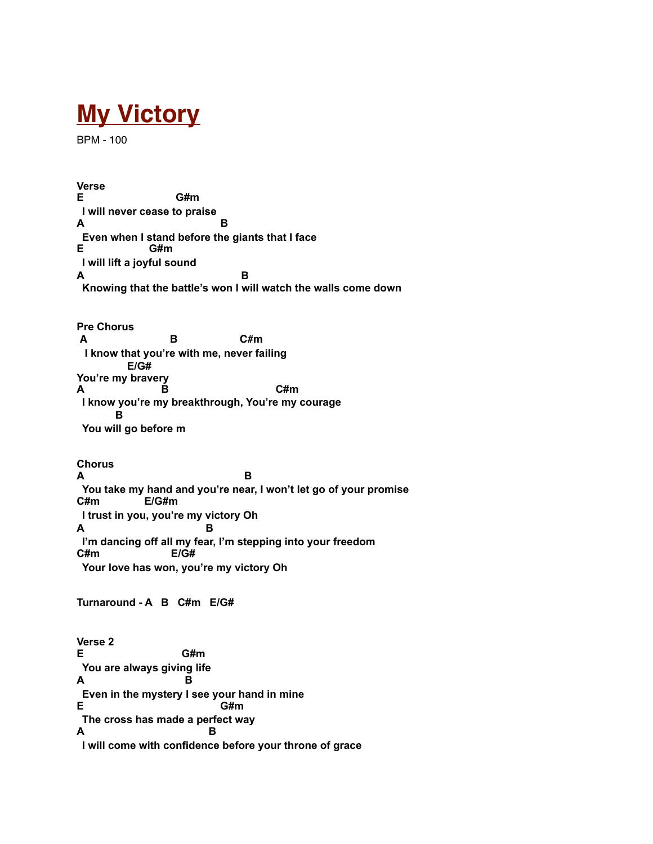## **My Victory**

BPM - 100

**Verse E G#m I will never cease to praise A B Even when I stand before the giants that I face**<br>**E** G#m **E G#m I will lift a joyful sound A B Knowing that the battle's won I will watch the walls come down Pre Chorus A B C#m I know that you're with me, never failing E/G# You're my bravery A B C#m I know you're my breakthrough, You're my courage B You will go before m Chorus A B You take my hand and you're near, I won't let go of your promise C#m E/G#m I trust in you, you're my victory Oh A B I'm dancing off all my fear, I'm stepping into your freedom C#m E/G# Your love has won, you're my victory Oh Turnaround - A B C#m E/G#** 

**Verse 2 E G#m You are always giving life A B Even in the mystery I see your hand in mine E** G#m **The cross has made a perfect way**<br>**A B A B I will come with confidence before your throne of grace**